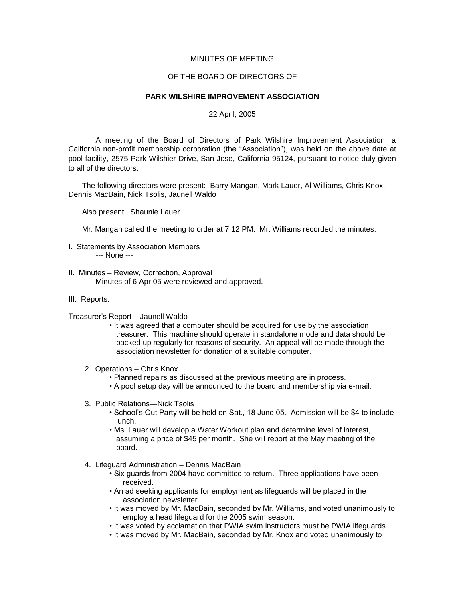## MINUTES OF MEETING

## OF THE BOARD OF DIRECTORS OF

## **PARK WILSHIRE IMPROVEMENT ASSOCIATION**

## 22 April, 2005

A meeting of the Board of Directors of Park Wilshire Improvement Association, a California non-profit membership corporation (the "Association"), was held on the above date at pool facility, 2575 Park Wilshier Drive, San Jose, California 95124, pursuant to notice duly given to all of the directors.

The following directors were present: Barry Mangan, Mark Lauer, Al Williams, Chris Knox, Dennis MacBain, Nick Tsolis, Jaunell Waldo

Also present: Shaunie Lauer

Mr. Mangan called the meeting to order at 7:12 PM. Mr. Williams recorded the minutes.

- I. Statements by Association Members --- None ---
- II. Minutes Review, Correction, Approval Minutes of 6 Apr 05 were reviewed and approved.
- III. Reports:
- Treasurer's Report Jaunell Waldo
	- It was agreed that a computer should be acquired for use by the association treasurer. This machine should operate in standalone mode and data should be backed up regularly for reasons of security. An appeal will be made through the association newsletter for donation of a suitable computer.
	- 2. Operations Chris Knox
		- Planned repairs as discussed at the previous meeting are in process.
		- A pool setup day will be announced to the board and membership via e-mail.
	- 3. Public Relations—Nick Tsolis
		- School's Out Party will be held on Sat., 18 June 05. Admission will be \$4 to include lunch.
		- Ms. Lauer will develop a Water Workout plan and determine level of interest, assuming a price of \$45 per month. She will report at the May meeting of the board.
	- 4. Lifeguard Administration Dennis MacBain
		- Six guards from 2004 have committed to return. Three applications have been received.
		- An ad seeking applicants for employment as lifeguards will be placed in the association newsletter.
		- It was moved by Mr. MacBain, seconded by Mr. Williams, and voted unanimously to employ a head lifeguard for the 2005 swim season.
		- It was voted by acclamation that PWIA swim instructors must be PWIA lifeguards.
		- It was moved by Mr. MacBain, seconded by Mr. Knox and voted unanimously to